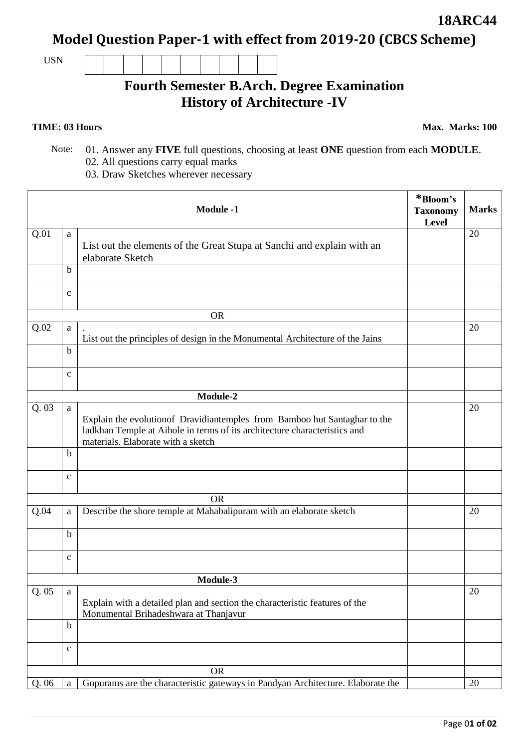**Model Question Paper-1 with effect from 2019-20 (CBCS Scheme)**

USN

## **Fourth Semester B.Arch. Degree Examination History of Architecture -IV**

**TIME: 03 Hours** Max. Marks: 100

ᄀ

- Note: 01. Answer any **FIVE** full questions, choosing at least **ONE** question from each **MODULE**. 02. All questions carry equal marks
	- 03. Draw Sketches wherever necessary

|       |              | <b>Module -1</b>                                                                                                                                                                              | *Bloom's<br><b>Taxonomy</b><br>Level | <b>Marks</b> |
|-------|--------------|-----------------------------------------------------------------------------------------------------------------------------------------------------------------------------------------------|--------------------------------------|--------------|
| Q.01  | a            | List out the elements of the Great Stupa at Sanchi and explain with an<br>elaborate Sketch                                                                                                    |                                      | 20           |
|       | $\mathbf b$  |                                                                                                                                                                                               |                                      |              |
|       | $\mathbf{C}$ |                                                                                                                                                                                               |                                      |              |
|       |              | <b>OR</b>                                                                                                                                                                                     |                                      |              |
| Q.02  | a            | List out the principles of design in the Monumental Architecture of the Jains                                                                                                                 |                                      | 20           |
|       | $\mathbf b$  |                                                                                                                                                                                               |                                      |              |
|       | $\mathbf{C}$ |                                                                                                                                                                                               |                                      |              |
|       |              | Module-2                                                                                                                                                                                      |                                      |              |
| Q.03  | a            | Explain the evolution of Dravidiantemples from Bamboo hut Santaghar to the<br>ladkhan Temple at Aihole in terms of its architecture characteristics and<br>materials. Elaborate with a sketch |                                      | 20           |
|       | b            |                                                                                                                                                                                               |                                      |              |
|       | $\mathbf{c}$ |                                                                                                                                                                                               |                                      |              |
|       |              | <b>OR</b>                                                                                                                                                                                     |                                      |              |
| Q.04  | a            | Describe the shore temple at Mahabalipuram with an elaborate sketch                                                                                                                           |                                      | 20           |
|       | b            |                                                                                                                                                                                               |                                      |              |
|       | $\mathbf{C}$ |                                                                                                                                                                                               |                                      |              |
|       |              | Module-3                                                                                                                                                                                      |                                      |              |
| Q.05  | a            | Explain with a detailed plan and section the characteristic features of the<br>Monumental Brihadeshwara at Thanjavur                                                                          |                                      | 20           |
|       | $\mathbf b$  |                                                                                                                                                                                               |                                      |              |
|       | $\mathbf c$  |                                                                                                                                                                                               |                                      |              |
|       |              | <b>OR</b>                                                                                                                                                                                     |                                      |              |
| Q. 06 | $\rm{a}$     | Gopurams are the characteristic gateways in Pandyan Architecture. Elaborate the                                                                                                               |                                      | 20           |